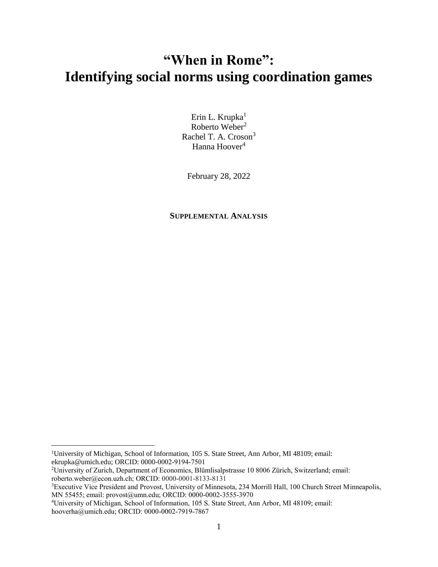## **"When in Rome": Identifying social norms using coordination games**

Erin L. Krupka $1$ Roberto Weber<sup>2</sup> Rachel T. A. Croson<sup>3</sup> Hanna Hoover<sup>4</sup>

February 28, 2022

## **SUPPLEMENTAL ANALYSIS**

<sup>1</sup>University of Michigan, School of Information, 105 S. State Street, Ann Arbor, MI 48109; email: ekrupka@umich.edu; ORCID: 0000-0002-9194-7501

<sup>2</sup>University of Zurich, Department of Economics, Blümlisalpstrasse 10 8006 Zürich, Switzerland; email: roberto.weber@econ.uzh.ch; ORCID: 0000-0001-8133-8131

<sup>&</sup>lt;sup>3</sup>Executive Vice President and Provost, University of Minnesota, 234 Morrill Hall, 100 Church Street Minneapolis, MN 55455; email: provost@umn.edu; ORCID: 0000-0002-3555-3970

<sup>4</sup>University of Michigan, School of Information, 105 S. State Street, Ann Arbor, MI 48109; email: hooverha@umich.edu; ORCID: 0000-0002-7919-7867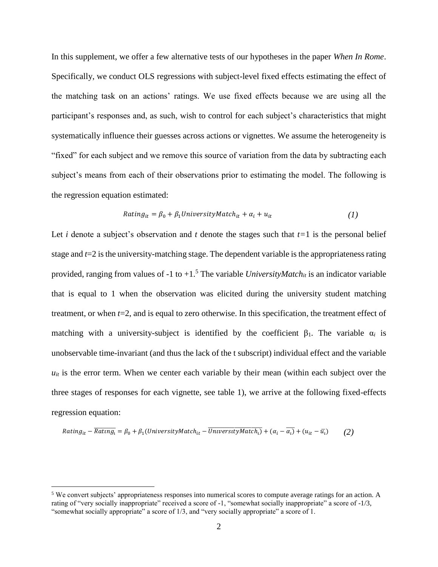In this supplement, we offer a few alternative tests of our hypotheses in the paper *When In Rome*. Specifically, we conduct OLS regressions with subject-level fixed effects estimating the effect of the matching task on an actions' ratings. We use fixed effects because we are using all the participant's responses and, as such, wish to control for each subject's characteristics that might systematically influence their guesses across actions or vignettes. We assume the heterogeneity is "fixed" for each subject and we remove this source of variation from the data by subtracting each subject's means from each of their observations prior to estimating the model. The following is the regression equation estimated:

$$
Rating_{it} = \beta_0 + \beta_1 UniversityMatch_{it} + \alpha_i + u_{it}
$$
 (1)

Let *i* denote a subject's observation and *t* denote the stages such that  $t=1$  is the personal belief stage and *t*=2 is the university-matching stage. The dependent variable is the appropriateness rating provided, ranging from values of -1 to  $+1.5$  The variable *UniversityMatch<sub>it</sub>* is an indicator variable that is equal to 1 when the observation was elicited during the university student matching treatment, or when *t*=2, and is equal to zero otherwise. In this specification, the treatment effect of matching with a university-subject is identified by the coefficient  $\beta_1$ . The variable  $\alpha_i$  is unobservable time-invariant (and thus the lack of the t subscript) individual effect and the variable  $u_{it}$  is the error term. When we center each variable by their mean (within each subject over the three stages of responses for each vignette, see table 1), we arrive at the following fixed-effects regression equation:

$$
Rating_{it} - \overline{Rating_i} = \beta_0 + \beta_1(UniversityMatch_{it} - \overline{UniversityMatch_{i}}) + (\alpha_i - \overline{\alpha_i}) + (u_{it} - \overline{u_i})
$$
 (2)

<sup>5</sup> We convert subjects' appropriateness responses into numerical scores to compute average ratings for an action. A rating of "very socially inappropriate" received a score of -1, "somewhat socially inappropriate" a score of -1/3, "somewhat socially appropriate" a score of 1/3, and "very socially appropriate" a score of 1.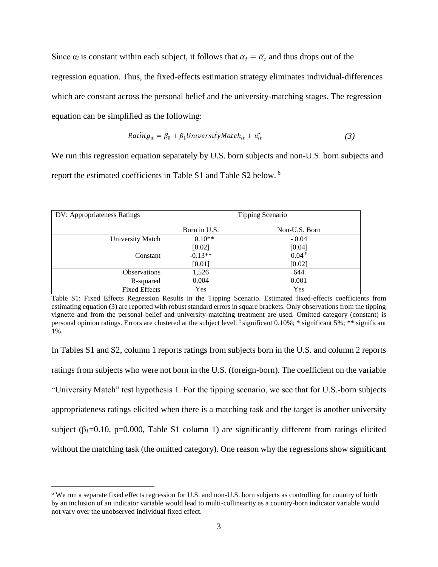Since  $\alpha_i$  is constant within each subject, it follows that  $\alpha_i = \overline{\alpha_i}$  and thus drops out of the regression equation. Thus, the fixed-effects estimation strategy eliminates individual-differences which are constant across the personal belief and the university-matching stages. The regression equation can be simplified as the following:

$$
Rating_{tt} = \beta_0 + \beta_1 UniversityMatch_{tt} + u_{tt}^{\dagger}
$$
 (3)

We run this regression equation separately by U.S. born subjects and non-U.S. born subjects and report the estimated coefficients in Table S1 and Table S2 below. <sup>6</sup>

| DV: Appropriateness Ratings | Tipping Scenario |               |  |
|-----------------------------|------------------|---------------|--|
|                             | Born in U.S.     | Non-U.S. Born |  |
| University Match            | $0.10**$         | $-0.04$       |  |
|                             | [0.02]           | [0.04]        |  |
| Constant                    | $-0.13**$        | $0.04*$       |  |
|                             | [0.01]           | [0.02]        |  |
| <b>Observations</b>         | 1,526            | 644           |  |
| R-squared                   | 0.004            | 0.001         |  |
| <b>Fixed Effects</b>        | Yes              | Yes           |  |

Table S1: Fixed Effects Regression Results in the Tipping Scenario. Estimated fixed-effects coefficients from estimating equation (3) are reported with robust standard errors in square brackets. Only observations from the tipping vignette and from the personal belief and university-matching treatment are used. Omitted category (constant) is personal opinion ratings. Errors are clustered at the subject level. <sup>†</sup> significant 0.10%; \* significant 5%; \*\* significant 1%.

In Tables S1 and S2, column 1 reports ratings from subjects born in the U.S. and column 2 reports ratings from subjects who were not born in the U.S. (foreign-born). The coefficient on the variable "University Match" test hypothesis 1. For the tipping scenario, we see that for U.S.-born subjects appropriateness ratings elicited when there is a matching task and the target is another university subject ( $\beta_1 = 0.10$ , p=0.000, Table S1 column 1) are significantly different from ratings elicited without the matching task (the omitted category). One reason why the regressions show significant

<sup>6</sup> We run a separate fixed effects regression for U.S. and non-U.S. born subjects as controlling for country of birth by an inclusion of an indicator variable would lead to multi-collinearity as a country-born indicator variable would not vary over the unobserved individual fixed effect.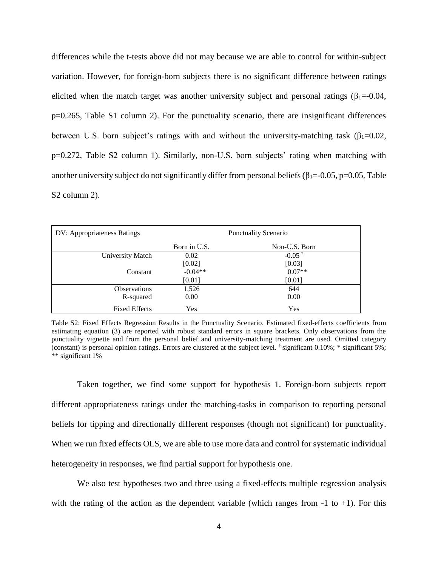differences while the t-tests above did not may because we are able to control for within-subject variation. However, for foreign-born subjects there is no significant difference between ratings elicited when the match target was another university subject and personal ratings ( $\beta_1 = -0.04$ , p=0.265, Table S1 column 2). For the punctuality scenario, there are insignificant differences between U.S. born subject's ratings with and without the university-matching task ( $\beta_1$ =0.02, p=0.272, Table S2 column 1). Similarly, non-U.S. born subjects' rating when matching with another university subject do not significantly differ from personal beliefs ( $\beta_1 = -0.05$ , p=0.05, Table S2 column 2).

| DV: Appropriateness Ratings | <b>Punctuality Scenario</b> |                      |  |
|-----------------------------|-----------------------------|----------------------|--|
|                             | Born in U.S.                | Non-U.S. Born        |  |
| University Match            | 0.02                        | $-0.05$ <sup>t</sup> |  |
|                             | [0.02]                      | [0.03]               |  |
| Constant                    | $-0.04**$                   | $0.07**$             |  |
|                             | $[0.01]$                    | $[0.01]$             |  |
| <b>Observations</b>         | 1,526                       | 644                  |  |
| R-squared                   | 0.00                        | 0.00                 |  |
| <b>Fixed Effects</b>        | Yes                         | Yes                  |  |

Table S2: Fixed Effects Regression Results in the Punctuality Scenario. Estimated fixed-effects coefficients from estimating equation (3) are reported with robust standard errors in square brackets. Only observations from the punctuality vignette and from the personal belief and university-matching treatment are used. Omitted category (constant) is personal opinion ratings. Errors are clustered at the subject level.  $\text{\textdegree}$  significant 0.10%; \* significant 5%; \*\* significant 1%

Taken together, we find some support for hypothesis 1. Foreign-born subjects report different appropriateness ratings under the matching-tasks in comparison to reporting personal beliefs for tipping and directionally different responses (though not significant) for punctuality. When we run fixed effects OLS, we are able to use more data and control for systematic individual heterogeneity in responses, we find partial support for hypothesis one.

We also test hypotheses two and three using a fixed-effects multiple regression analysis with the rating of the action as the dependent variable (which ranges from  $-1$  to  $+1$ ). For this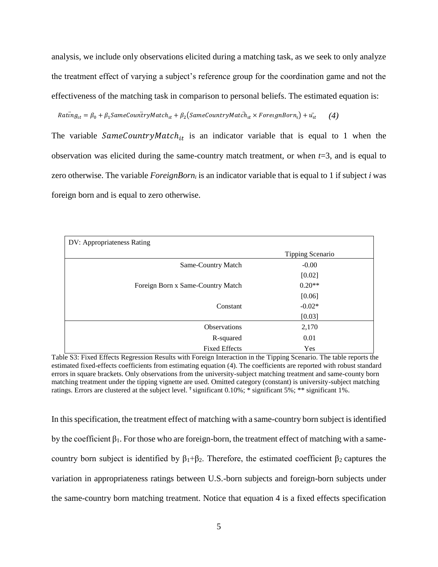analysis, we include only observations elicited during a matching task, as we seek to only analyze the treatment effect of varying a subject's reference group for the coordination game and not the effectiveness of the matching task in comparison to personal beliefs. The estimated equation is:

 $Rating_{it} = \beta_0 + \beta_1 SameCountryMatch_{it} + \beta_2(SameCountryMatch_{it} \times ForeignBorn_i) + \ddot{u_{it}}$  (4)

The variable  $SameCountryMatch_{it}$  is an indicator variable that is equal to 1 when the observation was elicited during the same-country match treatment, or when *t*=3, and is equal to zero otherwise. The variable *ForeignBorn<sup>i</sup>* is an indicator variable that is equal to 1 if subject *i* was foreign born and is equal to zero otherwise.

| DV: Appropriateness Rating        |                  |  |  |  |  |
|-----------------------------------|------------------|--|--|--|--|
|                                   | Tipping Scenario |  |  |  |  |
| Same-Country Match                | $-0.00$          |  |  |  |  |
|                                   | [0.02]           |  |  |  |  |
| Foreign Born x Same-Country Match | $0.20**$         |  |  |  |  |
|                                   | [0.06]           |  |  |  |  |
| Constant                          | $-0.02*$         |  |  |  |  |
|                                   | [0.03]           |  |  |  |  |
| <b>Observations</b>               | 2,170            |  |  |  |  |
| R-squared                         | 0.01             |  |  |  |  |
| <b>Fixed Effects</b>              | Yes              |  |  |  |  |

Table S3: Fixed Effects Regression Results with Foreign Interaction in the Tipping Scenario. The table reports the estimated fixed-effects coefficients from estimating equation (4). The coefficients are reported with robust standard errors in square brackets. Only observations from the university-subject matching treatment and same-county born matching treatment under the tipping vignette are used. Omitted category (constant) is university-subject matching ratings. Errors are clustered at the subject level. <sup>†</sup> significant 0.10%; \* significant 5%; \*\* significant 1%.

In this specification, the treatment effect of matching with a same-country born subject is identified by the coefficient  $β_1$ . For those who are foreign-born, the treatment effect of matching with a samecountry born subject is identified by  $\beta_1 + \beta_2$ . Therefore, the estimated coefficient  $\beta_2$  captures the variation in appropriateness ratings between U.S.-born subjects and foreign-born subjects under the same-country born matching treatment. Notice that equation 4 is a fixed effects specification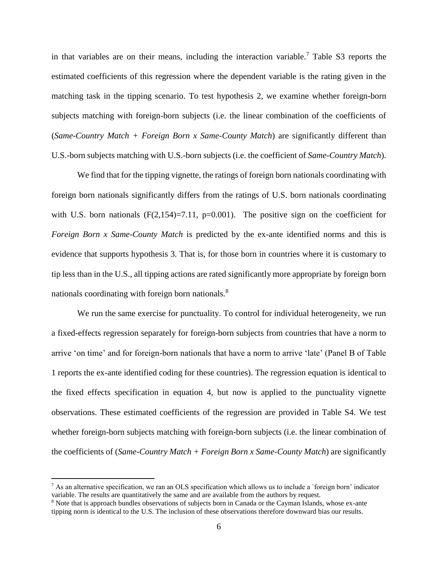in that variables are on their means, including the interaction variable.<sup>7</sup> Table S3 reports the estimated coefficients of this regression where the dependent variable is the rating given in the matching task in the tipping scenario. To test hypothesis 2, we examine whether foreign-born subjects matching with foreign-born subjects (i.e. the linear combination of the coefficients of (*Same-Country Match + Foreign Born x Same-County Match*) are significantly different than U.S.-born subjects matching with U.S.-born subjects (i.e. the coefficient of *Same-Country Match*).

We find that for the tipping vignette, the ratings of foreign born nationals coordinating with foreign born nationals significantly differs from the ratings of U.S. born nationals coordinating with U.S. born nationals  $(F(2,154)=7.11, p=0.001)$ . The positive sign on the coefficient for *Foreign Born x Same-County Match* is predicted by the ex-ante identified norms and this is evidence that supports hypothesis 3. That is, for those born in countries where it is customary to tip less than in the U.S., all tipping actions are rated significantly more appropriate by foreign born nationals coordinating with foreign born nationals.<sup>8</sup>

We run the same exercise for punctuality. To control for individual heterogeneity, we run a fixed-effects regression separately for foreign-born subjects from countries that have a norm to arrive 'on time' and for foreign-born nationals that have a norm to arrive 'late' (Panel B of Table 1 reports the ex-ante identified coding for these countries). The regression equation is identical to the fixed effects specification in equation 4, but now is applied to the punctuality vignette observations. These estimated coefficients of the regression are provided in Table S4. We test whether foreign-born subjects matching with foreign-born subjects (i.e. the linear combination of the coefficients of (*Same-Country Match + Foreign Born x Same-County Match*) are significantly

 $<sup>7</sup>$  As an alternative specification, we ran an OLS specification which allows us to include a `foreign born' indicator</sup> variable. The results are quantitatively the same and are available from the authors by request.

<sup>8</sup> Note that is approach bundles observations of subjects born in Canada or the Cayman Islands, whose ex-ante tipping norm is identical to the U.S. The inclusion of these observations therefore downward bias our results.